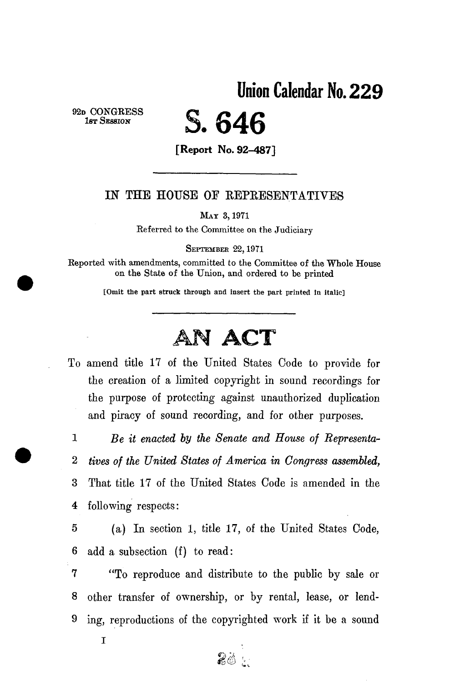Union Calendar No. **229** 

**92D CONGRES S 1ST SESSION** 

# S. **646**

**[Report No. 92-487]** 

#### IN THE HOUSE OE REPRESENTATIVES

**MAT 3,1971** 

**Referred to the Committee on the Judiciary** 

**SEPTEMBER 22,1971** 

**Reported with amendments, committed to the Committee of the Whole House on the State of the Union, and ordered to be printed** 

**[Omit the part struck through and insert the part printed in italic]** 

## AM **ACT**

To amend title 17 of the United States Code to provide for the creation of a limited copyright in sound recordings for the purpose of protecting against unauthorized duplication and piracy of sound recording, and for other purposes.

1 *Be it enacted by the Senate and House of Representa-*2 *tives of the United States of America in Congress assembled,*  3 That title 17 of the United States Code is amended in the 4 following respects:

5 (a) In section 1, title 17, of the United States Code, 6 add a subsection (f) to read:

7 "To reproduce and distribute to the public by sale or 8 other transfer of ownership, or by rental, lease, or lend-9 ing, reproductions of the copyrighted work if it be a sound

20

**I**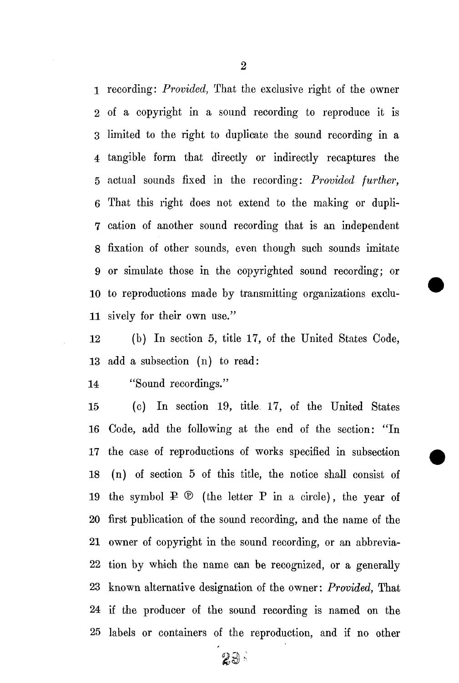1 recording: *Provided,* That the exclusive right of the owner 2 of a copyright in a sound recording to reproduce it is 3 limited to the right to duplicate the sound recording in a 4 tangible form that directly or indirectly recaptures the 5 actual sounds fixed in the recording: *Provided further,*  6 That this right does not extend to the making or dupli-7 cation of another sound recording that is an independent 8 fixation of other sounds, even though such sounds imitate 9 or simulate those in the copyrighted sound recording; or 10 to reproductions made by transmitting organizations exclu-11 sively for their own use."

12 (b) In section 5, title 17, of the United States Code, 13 add a subsection (n) to read:

14 "Sound recordings."

15 (c) In section 19, title 17, of the United States 16 Code, add the following at the end of the section: "In 17 the case of reproductions of works specified in subsection 18 (n) of section 5 of this title, the notice shall consist of 19 the symbol  $P \circledcirc$  (the letter P in a circle), the year of 20 first publication of the sound recording, and the name of the 21 owner of copyright in the sound recording, or an abbrevia-22 tion by which the name can be recognized, or a generally 23 known alternative designation of the owner: *Provided,* That 24 if the producer of the sound recording is named on the 25 labels or containers of the reproduction, and if no other

29.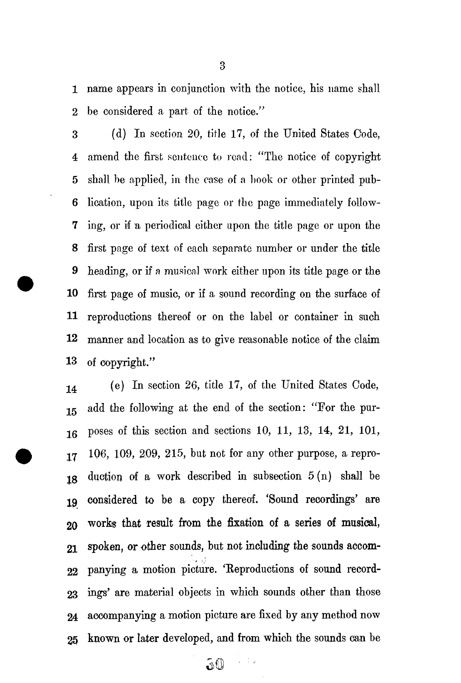1 name appears in conjunction with the notice, his name shall 2 be considered a part of the notice."

3 (d) In section 20, title 17, of the United States Code, 4 amend the first sentence to read: "The notice of copyright 5 shall be applied, in the case of a book or other printed pub-6 lication, upon its title page or the page immediately follow-**7** ing, or if a periodical either upon the title page or upon the 8 first page of text of each separate number or under the title 9 heading, or if a musical work either upon its title page or the **10** first page of music, or if a sound recording on the surface of **11** reproductions thereof or on the label or container in such **12** manner and location as to give reasonable notice of the claim **13** of copyright."

•J4 (e) In section 26, title 17, of the United States Code, 15 add the following at the end of the section: "For the pur-16 poses of this section and sections 10, 11, 13, 14, 21, 101,  $17$  106, 109, 209, 215, but not for any other purpose, a reprojg duction of a work described in subsection 5 (n) shall be 19 considered to be a copy thereof. 'Sound recordings' are 20 works that result from the fixation of a series of musical, 21 spoken, or other sounds, but not including the sounds accom-22 panying a motion picture. 'Reproductions of sound record-23 ings' are material objects in which sounds other than those 24 accompanying a motion picture are fixed by any method now 25 known or later developed, and from which the sounds can be

3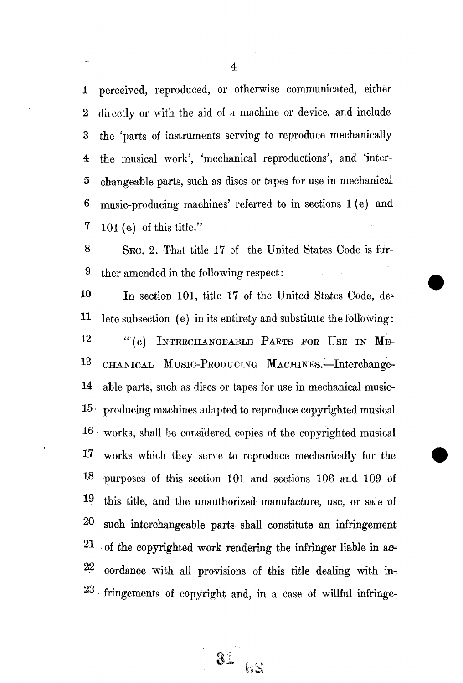1 perceived, reproduced, or otherwise communicated, either 2 directly or with the aid of a machine or device, and include 3 the 'parts of instruments serving to reproduce mechanically 4 the musical work', 'mechanical reproductions', and 'inter-5 changeable parts, such as discs or tapes for use in mechanical 6 music-producing machines' referred to in sections 1 (e) and  $7 \quad 101$  (e) of this title."

8 SEC. 2. That title 17 of the United States Code is fur-9 ther amended in the following respect:

10 In section 101, title 17 of the United States Code, de-11 lete subsection (e) in its entirety and substitute the following: 12 "(e) INTERCHANGEABLE PARTS FOR USE IN ME- $13\,$ CHANICAL MUSIC-PRODUCING MACHINES.-Interchange-14 able parts, such as discs or tapes for use in mechanical music-15 • producing machines adapted to reproduce copyrighted musical  $16 \cdot$  works, shall be considered copies of the copyrighted musical <sup>1</sup> 7 works which they serve to reproduce mechanically for the 18 purposes of this section 101 and sections 106 and 109 of 19 this title, and the unauthorized manufacture, use, or sale of 20 such interchangeable parts shall constitute an infringement 2 1 - of the copyrighted work rendering the infringer liable in ao-22 cordance with all provisions of this title dealing with in-<sup>23</sup> fringements of copyright and, in a case of willful infringe-

31 65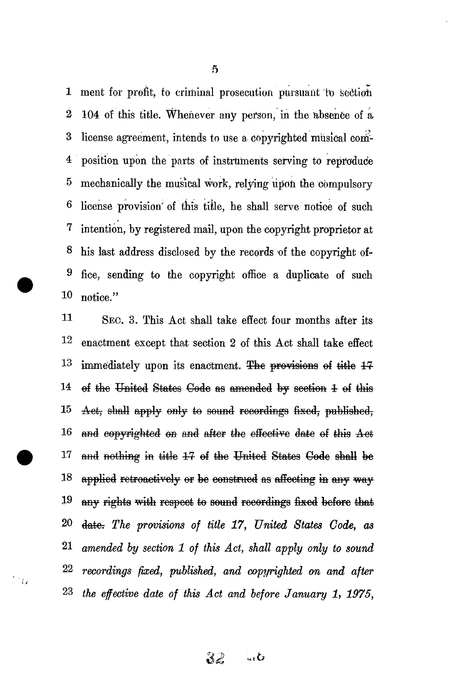**1** merit for profit, to criminal prosecution pursuant to section 2 104 of this title. Whenever any person, in the absence of a 3 license agreement, intends to use a copyrighted musical com-4 position upon the parts of instruments serving to reproduce 5 mechanically the musical *work,* relying upon the compulsory 6 license provision'of tins tiile, he shall serve notice of such 7 intention, by registered mail, upon the copyright proprietor at 8 his last address disclosed by the records of the copyright of-9 fice, sending to the copyright office a duplicate of such 10 notice."

11 SEC. 3. This Act shall take effect four months after its 12 enactment except that section 2 of this Act shall take effect  $13$  immediately upon its enactment. The provisions of title  $14$ 14 of the United States Code as amended by section 1 of this 15 Aet, shall apply only to sound recordings fixed, published,  $16$  and copyrighted on and after the effective date of this  $A$ et 17 and nothing in title 17 of the United States Code shall be 18 applied retroactively or be construed as affecting in any way  $19$  any rights with respect to sound recordings fixed before that 20 date: The provisions of title 17, United States Code, as 21 *amended by section 1 of this Act, shall apply only to sound*  22 *recordings fixed, published, and copyrighted on and after*  23 *the effective date of this Act and before January 1, 1975,* 

 $\frac{1}{\sqrt{2}}$ 

5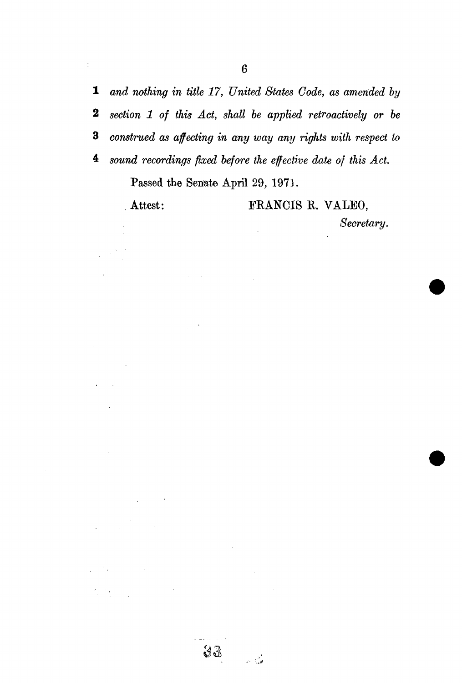*and nothing in title 17, United States Code, as amended by section 1 of this Act, shall be applied retroactively or be construed as affecting in any way any rights with respect to sound recordings fixed before the effective date of this Act.* 

 $\ddot{\phantom{a}}$ 

**Passed the Senate April 29, 1971.** 

 $33$ 

نې<br>نوي تر

 $\gamma_{\rm{A}}$ 

 $\overline{a}$ 

 $\overline{\overline{z}}$ 

### **Attest: ERANCIS R. VALEO,**

*Secretary.*